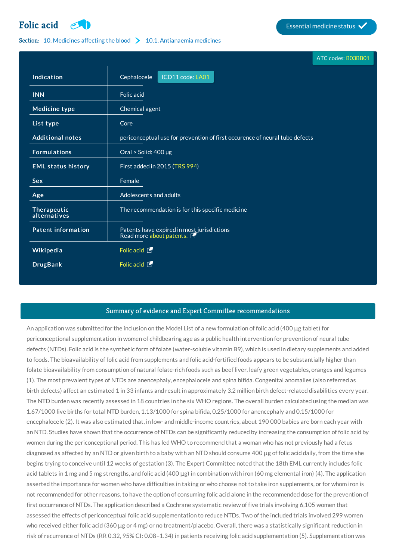## **[Folic](http://list.essentialmeds.org/medicines/120) acid Essential medicine status**

## Section: 10. [Medicines](http://list.essentialmeds.org/?section=379) affecting the blood  $\sum$  10.1. [Antianaemia](http://list.essentialmeds.org/?section=380) medicines

|                             | ATC codes: B03BB01                                                            |  |
|-----------------------------|-------------------------------------------------------------------------------|--|
| Indication                  | ICD11 code: LA01<br>Cephalocele                                               |  |
| <b>INN</b>                  | Folic acid                                                                    |  |
| <b>Medicine type</b>        | Chemical agent                                                                |  |
| List type                   | Core                                                                          |  |
| <b>Additional notes</b>     | periconceptual use for prevention of first occurence of neural tube defects   |  |
| <b>Formulations</b>         | Oral > Solid: 400 µg                                                          |  |
| <b>EML status history</b>   | First added in 2015 (TRS 994)                                                 |  |
| <b>Sex</b>                  | Female                                                                        |  |
| Age                         | Adolescents and adults                                                        |  |
| Therapeutic<br>alternatives | The recommendation is for this specific medicine                              |  |
| <b>Patent information</b>   | Patents have expired in most jurisdictions<br>Read more about patents. $\Box$ |  |
| Wikipedia                   | Folic acid <b>T</b>                                                           |  |
| <b>DrugBank</b>             | Folic acid $\Box$                                                             |  |

## Summary of evidence and Expert Committee recommendations

An application was submitted for the inclusion on the Model List of a new formulation of folic acid (400 μg tablet) for periconceptional supplementation in women of childbearing age as a public health intervention for prevention of neural tube defects (NTDs). Folic acid is the synthetic form of folate (water-soluble vitamin B9), which is used in dietary supplements and added to foods. The bioavailability of folic acid from supplements and folic acid-fortified foods appears to be substantially higher than folate bioavailability from consumption of natural folate-rich foods such as beef liver, leafy green vegetables, oranges and legumes (1). The most prevalent types of NTDs are anencephaly, encephalocele and spina bifida. Congenital anomalies (also referred as birth defects) affect an estimated 1 in 33 infants and result in approximately 3.2 million birth defect-related disabilities every year. The NTD burden was recently assessed in 18 countries in the six WHO regions. The overall burden calculated using the median was 1.67/1000 live births for total NTD burden, 1.13/1000 for spina bifida, 0.25/1000 for anencephaly and 0.15/1000 for encephalocele (2). It was also estimated that, in low- and middle-income countries, about 190 000 babies are born each year with an NTD. Studies have shown that the occurrence of NTDs can be significantly reduced by increasing the consumption of folic acid by women during the periconceptional period. This has led WHO to recommend that a woman who has not previously had a fetus diagnosed as affected by an NTD or given birth to a baby with an NTD should consume 400 μg of folic acid daily, from the time she begins trying to conceive until 12 weeks of gestation (3). The Expert Committee noted that the 18th EML currently includes folic acid tablets in 1 mg and 5 mg strengths, and folic acid (400  $\mu$ g) in combination with iron (60 mg elemental iron) (4). The application asserted the importance for women who have difficulties in taking or who choose not to take iron supplements, or for whom iron is not recommended for other reasons, to have the option of consuming folic acid alone in the recommended dose for the prevention of first occurrence of NTDs. The application described a Cochrane systematic review of five trials involving 6,105 women that assessed the effects of periconceptual folic acid supplementation to reduce NTDs. Two of the included trials involved 299 women who received either folic acid (360 μg or 4 mg) or no treatment/placebo. Overall, there was a statistically significant reduction in risk of recurrence of NTDs (RR 0.32, 95% CI: 0.08–1.34) in patients receiving folic acid supplementation (5). Supplementation was